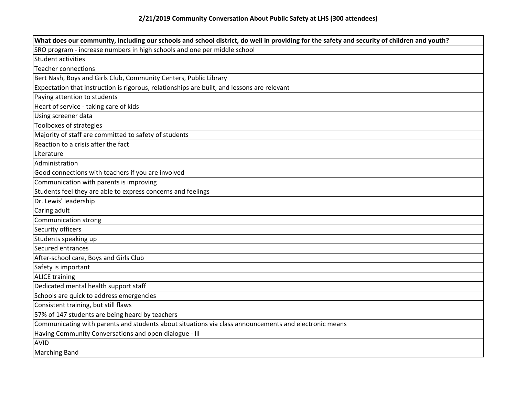| What does our community, including our schools and school district, do well in providing for the safety and security of children and youth? |
|---------------------------------------------------------------------------------------------------------------------------------------------|
| SRO program - increase numbers in high schools and one per middle school                                                                    |
| <b>Student activities</b>                                                                                                                   |
| <b>Teacher connections</b>                                                                                                                  |
| Bert Nash, Boys and Girls Club, Community Centers, Public Library                                                                           |
| Expectation that instruction is rigorous, relationships are built, and lessons are relevant                                                 |
| Paying attention to students                                                                                                                |
| Heart of service - taking care of kids                                                                                                      |
| Using screener data                                                                                                                         |
| Toolboxes of strategies                                                                                                                     |
| Majority of staff are committed to safety of students                                                                                       |
| Reaction to a crisis after the fact                                                                                                         |
| Literature                                                                                                                                  |
| Administration                                                                                                                              |
| Good connections with teachers if you are involved                                                                                          |
| Communication with parents is improving                                                                                                     |
| Students feel they are able to express concerns and feelings                                                                                |
| Dr. Lewis' leadership                                                                                                                       |
| Caring adult                                                                                                                                |
| <b>Communication strong</b>                                                                                                                 |
| Security officers                                                                                                                           |
| Students speaking up                                                                                                                        |
| Secured entrances                                                                                                                           |
| After-school care, Boys and Girls Club                                                                                                      |
| Safety is important                                                                                                                         |
| <b>ALICE training</b>                                                                                                                       |
| Dedicated mental health support staff                                                                                                       |
| Schools are quick to address emergencies                                                                                                    |
| Consistent training, but still flaws                                                                                                        |
| 57% of 147 students are being heard by teachers                                                                                             |
| Communicating with parents and students about situations via class announcements and electronic means                                       |
| Having Community Conversations and open dialogue - III                                                                                      |
| <b>AVID</b>                                                                                                                                 |
| <b>Marching Band</b>                                                                                                                        |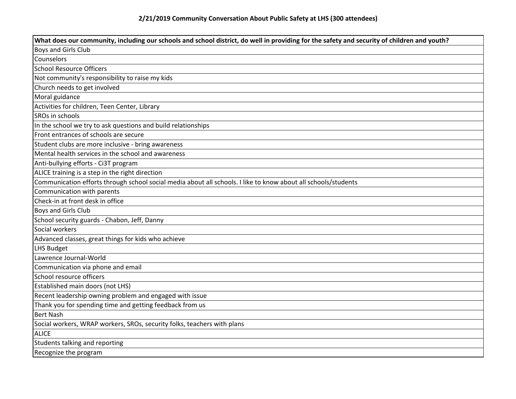| What does our community, including our schools and school district, do well in providing for the safety and security of children and youth? |
|---------------------------------------------------------------------------------------------------------------------------------------------|
| <b>Boys and Girls Club</b>                                                                                                                  |
| Counselors                                                                                                                                  |
| <b>School Resource Officers</b>                                                                                                             |
| Not community's responsibility to raise my kids                                                                                             |
| Church needs to get involved                                                                                                                |
| Moral guidance                                                                                                                              |
| Activities for children, Teen Center, Library                                                                                               |
| SROs in schools                                                                                                                             |
| In the school we try to ask questions and build relationships                                                                               |
| Front entrances of schools are secure                                                                                                       |
| Student clubs are more inclusive - bring awareness                                                                                          |
| Mental health services in the school and awareness                                                                                          |
| Anti-bullying efforts - Ci3T program                                                                                                        |
| ALICE training is a step in the right direction                                                                                             |
| Communication efforts through school social media about all schools. I like to know about all schools/students                              |
| Communication with parents                                                                                                                  |
| Check-in at front desk in office                                                                                                            |
| <b>Boys and Girls Club</b>                                                                                                                  |
| School security guards - Chabon, Jeff, Danny                                                                                                |
| Social workers                                                                                                                              |
| Advanced classes, great things for kids who achieve                                                                                         |
| <b>LHS Budget</b>                                                                                                                           |
| Lawrence Journal-World                                                                                                                      |
| Communication via phone and email                                                                                                           |
| School resource officers                                                                                                                    |
| Established main doors (not LHS)                                                                                                            |
| Recent leadership owning problem and engaged with issue                                                                                     |
| Thank you for spending time and getting feedback from us                                                                                    |
| <b>Bert Nash</b>                                                                                                                            |
| Social workers, WRAP workers, SROs, security folks, teachers with plans                                                                     |
| <b>ALICE</b>                                                                                                                                |
| Students talking and reporting                                                                                                              |
| Recognize the program                                                                                                                       |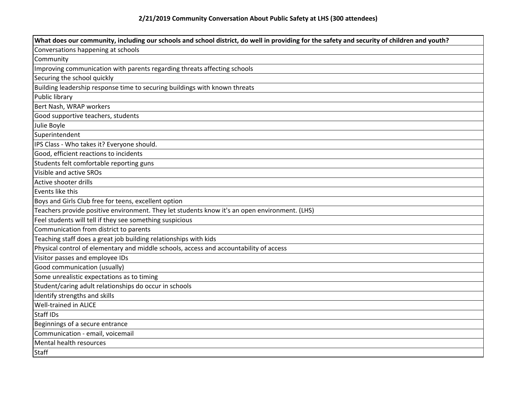| What does our community, including our schools and school district, do well in providing for the safety and security of children and youth? |
|---------------------------------------------------------------------------------------------------------------------------------------------|
| Conversations happening at schools                                                                                                          |
| Community                                                                                                                                   |
| Improving communication with parents regarding threats affecting schools                                                                    |
| Securing the school quickly                                                                                                                 |
| Building leadership response time to securing buildings with known threats                                                                  |
| Public library                                                                                                                              |
| Bert Nash, WRAP workers                                                                                                                     |
| Good supportive teachers, students                                                                                                          |
| Julie Boyle                                                                                                                                 |
| Superintendent                                                                                                                              |
| IPS Class - Who takes it? Everyone should.                                                                                                  |
| Good, efficient reactions to incidents                                                                                                      |
| Students felt comfortable reporting guns                                                                                                    |
| Visible and active SROs                                                                                                                     |
| Active shooter drills                                                                                                                       |
| Events like this                                                                                                                            |
| Boys and Girls Club free for teens, excellent option                                                                                        |
| Teachers provide positive environment. They let students know it's an open environment. (LHS)                                               |
| Feel students will tell if they see something suspicious                                                                                    |
| Communication from district to parents                                                                                                      |
| Teaching staff does a great job building relationships with kids                                                                            |
| Physical control of elementary and middle schools, access and accountability of access                                                      |
| Visitor passes and employee IDs                                                                                                             |
| Good communication (usually)                                                                                                                |
| Some unrealistic expectations as to timing                                                                                                  |
| Student/caring adult relationships do occur in schools                                                                                      |
| Identify strengths and skills                                                                                                               |
| <b>Well-trained in ALICE</b>                                                                                                                |
| Staff IDs                                                                                                                                   |
| Beginnings of a secure entrance                                                                                                             |
| Communication - email, voicemail                                                                                                            |
| Mental health resources                                                                                                                     |
| <b>Staff</b>                                                                                                                                |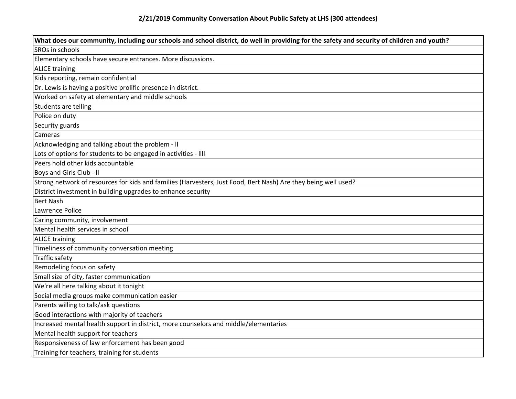| What does our community, including our schools and school district, do well in providing for the safety and security of children and youth? |
|---------------------------------------------------------------------------------------------------------------------------------------------|
| SROs in schools                                                                                                                             |
| Elementary schools have secure entrances. More discussions.                                                                                 |
| <b>ALICE training</b>                                                                                                                       |
| Kids reporting, remain confidential                                                                                                         |
| Dr. Lewis is having a positive prolific presence in district.                                                                               |
| Worked on safety at elementary and middle schools                                                                                           |
| Students are telling                                                                                                                        |
| Police on duty                                                                                                                              |
| Security guards                                                                                                                             |
| Cameras                                                                                                                                     |
| Acknowledging and talking about the problem - II                                                                                            |
| Lots of options for students to be engaged in activities - IIII                                                                             |
| Peers hold other kids accountable                                                                                                           |
| Boys and Girls Club - II                                                                                                                    |
| Strong network of resources for kids and families (Harvesters, Just Food, Bert Nash) Are they being well used?                              |
| District investment in building upgrades to enhance security                                                                                |
| <b>Bert Nash</b>                                                                                                                            |
| Lawrence Police                                                                                                                             |
| Caring community, involvement                                                                                                               |
| Mental health services in school                                                                                                            |
| <b>ALICE training</b>                                                                                                                       |
| Timeliness of community conversation meeting                                                                                                |
| <b>Traffic safety</b>                                                                                                                       |
| Remodeling focus on safety                                                                                                                  |
| Small size of city, faster communication                                                                                                    |
| We're all here talking about it tonight                                                                                                     |
| Social media groups make communication easier                                                                                               |
| Parents willing to talk/ask questions                                                                                                       |
| Good interactions with majority of teachers                                                                                                 |
| Increased mental health support in district, more counselors and middle/elementaries                                                        |
| Mental health support for teachers                                                                                                          |
| Responsiveness of law enforcement has been good                                                                                             |
| Training for teachers, training for students                                                                                                |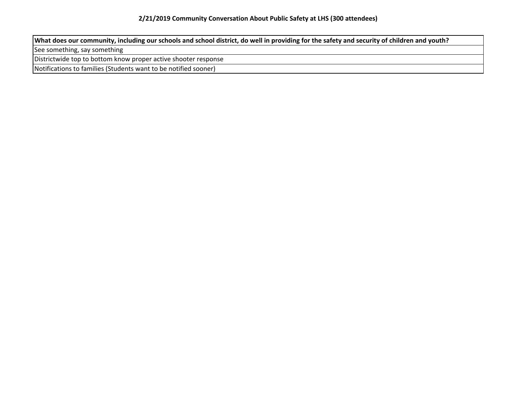**What does our community, including our schools and school district, do well in providing for the safety and security of children and youth?**

See something, say something

Districtwide top to bottom know proper active shooter response

Notifications to families (Students want to be notified sooner)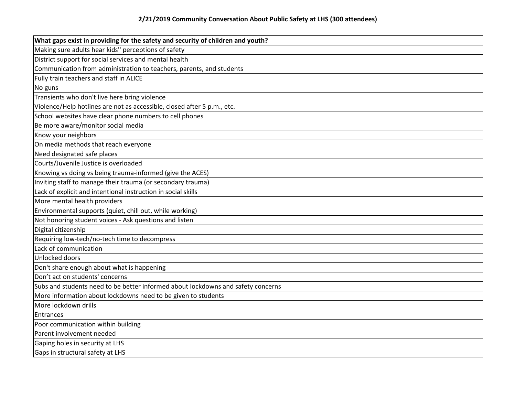| What gaps exist in providing for the safety and security of children and youth?  |
|----------------------------------------------------------------------------------|
| Making sure adults hear kids" perceptions of safety                              |
| District support for social services and mental health                           |
| Communication from administration to teachers, parents, and students             |
| Fully train teachers and staff in ALICE                                          |
| No guns                                                                          |
| Transients who don't live here bring violence                                    |
| Violence/Help hotlines are not as accessible, closed after 5 p.m., etc.          |
| School websites have clear phone numbers to cell phones                          |
| Be more aware/monitor social media                                               |
| Know your neighbors                                                              |
| On media methods that reach everyone                                             |
| Need designated safe places                                                      |
| Courts/Juvenile Justice is overloaded                                            |
| Knowing vs doing vs being trauma-informed (give the ACES)                        |
| Inviting staff to manage their trauma (or secondary trauma)                      |
| Lack of explicit and intentional instruction in social skills                    |
| More mental health providers                                                     |
| Environmental supports (quiet, chill out, while working)                         |
| Not honoring student voices - Ask questions and listen                           |
| Digital citizenship                                                              |
| Requiring low-tech/no-tech time to decompress                                    |
| Lack of communication                                                            |
| Unlocked doors                                                                   |
| Don't share enough about what is happening                                       |
| Don't act on students' concerns                                                  |
| Subs and students need to be better informed about lockdowns and safety concerns |
| More information about lockdowns need to be given to students                    |
| More lockdown drills                                                             |
| Entrances                                                                        |
| Poor communication within building                                               |
| Parent involvement needed                                                        |
| Gaping holes in security at LHS                                                  |
| Gaps in structural safety at LHS                                                 |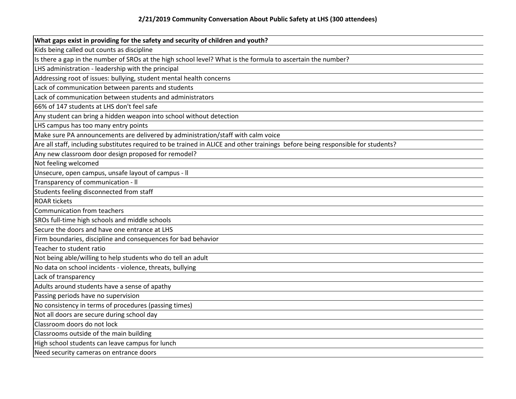| What gaps exist in providing for the safety and security of children and youth?                                                 |
|---------------------------------------------------------------------------------------------------------------------------------|
| Kids being called out counts as discipline                                                                                      |
| Is there a gap in the number of SROs at the high school level? What is the formula to ascertain the number?                     |
| LHS administration - leadership with the principal                                                                              |
| Addressing root of issues: bullying, student mental health concerns                                                             |
| Lack of communication between parents and students                                                                              |
| Lack of communication between students and administrators                                                                       |
| 66% of 147 students at LHS don't feel safe                                                                                      |
| Any student can bring a hidden weapon into school without detection                                                             |
| LHS campus has too many entry points                                                                                            |
| Make sure PA announcements are delivered by administration/staff with calm voice                                                |
| Are all staff, including substitutes required to be trained in ALICE and other trainings before being responsible for students? |
| Any new classroom door design proposed for remodel?                                                                             |
| Not feeling welcomed                                                                                                            |
| Unsecure, open campus, unsafe layout of campus - II                                                                             |
| Transparency of communication - II                                                                                              |
| Students feeling disconnected from staff                                                                                        |
| <b>ROAR tickets</b>                                                                                                             |
| Communication from teachers                                                                                                     |
| SROs full-time high schools and middle schools                                                                                  |
| Secure the doors and have one entrance at LHS                                                                                   |
| Firm boundaries, discipline and consequences for bad behavior                                                                   |
| Teacher to student ratio                                                                                                        |
| Not being able/willing to help students who do tell an adult                                                                    |
| No data on school incidents - violence, threats, bullying                                                                       |
| Lack of transparency                                                                                                            |
| Adults around students have a sense of apathy                                                                                   |
| Passing periods have no supervision                                                                                             |
| No consistency in terms of procedures (passing times)                                                                           |
| Not all doors are secure during school day                                                                                      |
| Classroom doors do not lock                                                                                                     |
| Classrooms outside of the main building                                                                                         |
| High school students can leave campus for lunch                                                                                 |
| Need security cameras on entrance doors                                                                                         |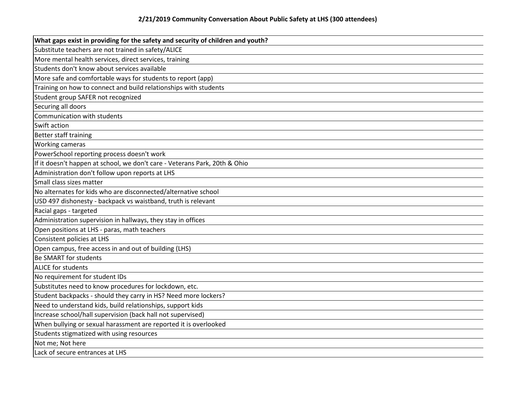| What gaps exist in providing for the safety and security of children and youth? |
|---------------------------------------------------------------------------------|
| Substitute teachers are not trained in safety/ALICE                             |
| More mental health services, direct services, training                          |
| Students don't know about services available                                    |
| More safe and comfortable ways for students to report (app)                     |
| Training on how to connect and build relationships with students                |
| Student group SAFER not recognized                                              |
| Securing all doors                                                              |
| Communication with students                                                     |
| Swift action                                                                    |
| Better staff training                                                           |
| <b>Working cameras</b>                                                          |
| PowerSchool reporting process doesn't work                                      |
| If it doesn't happen at school, we don't care - Veterans Park, 20th & Ohio      |
| Administration don't follow upon reports at LHS                                 |
| Small class sizes matter                                                        |
| No alternates for kids who are disconnected/alternative school                  |
| USD 497 dishonesty - backpack vs waistband, truth is relevant                   |
| Racial gaps - targeted                                                          |
| Administration supervision in hallways, they stay in offices                    |
| Open positions at LHS - paras, math teachers                                    |
| Consistent policies at LHS                                                      |
| Open campus, free access in and out of building (LHS)                           |
| <b>Be SMART for students</b>                                                    |
| <b>ALICE for students</b>                                                       |
| No requirement for student IDs                                                  |
| Substitutes need to know procedures for lockdown, etc.                          |
| Student backpacks - should they carry in HS? Need more lockers?                 |
| Need to understand kids, build relationships, support kids                      |
| Increase school/hall supervision (back hall not supervised)                     |
| When bullying or sexual harassment are reported it is overlooked                |
| Students stigmatized with using resources                                       |
| Not me; Not here                                                                |
| Lack of secure entrances at LHS                                                 |
|                                                                                 |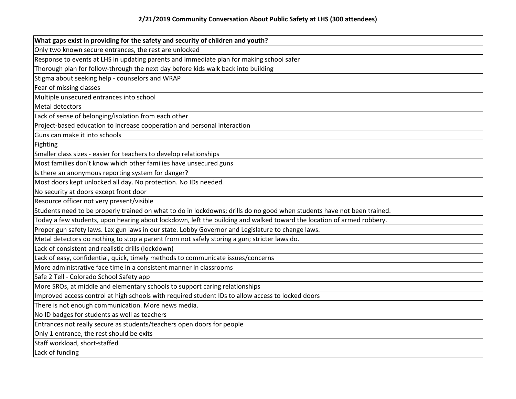| What gaps exist in providing for the safety and security of children and youth?                                         |
|-------------------------------------------------------------------------------------------------------------------------|
| Only two known secure entrances, the rest are unlocked                                                                  |
| Response to events at LHS in updating parents and immediate plan for making school safer                                |
| Thorough plan for follow-through the next day before kids walk back into building                                       |
| Stigma about seeking help - counselors and WRAP                                                                         |
| Fear of missing classes                                                                                                 |
| Multiple unsecured entrances into school                                                                                |
| Metal detectors                                                                                                         |
| Lack of sense of belonging/isolation from each other                                                                    |
| Project-based education to increase cooperation and personal interaction                                                |
| Guns can make it into schools                                                                                           |
| Fighting                                                                                                                |
| Smaller class sizes - easier for teachers to develop relationships                                                      |
| Most families don't know which other families have unsecured guns                                                       |
| Is there an anonymous reporting system for danger?                                                                      |
| Most doors kept unlocked all day. No protection. No IDs needed.                                                         |
| No security at doors except front door                                                                                  |
| Resource officer not very present/visible                                                                               |
| Students need to be properly trained on what to do in lockdowns; drills do no good when students have not been trained. |
| Today a few students, upon hearing about lockdown, left the building and walked toward the location of armed robbery.   |
| Proper gun safety laws. Lax gun laws in our state. Lobby Governor and Legislature to change laws.                       |
| Metal detectors do nothing to stop a parent from not safely storing a gun; stricter laws do.                            |
| Lack of consistent and realistic drills (lockdown)                                                                      |
| Lack of easy, confidential, quick, timely methods to communicate issues/concerns                                        |
| More administrative face time in a consistent manner in classrooms                                                      |
| Safe 2 Tell - Colorado School Safety app                                                                                |
| More SROs, at middle and elementary schools to support caring relationships                                             |
| Improved access control at high schools with required student IDs to allow access to locked doors                       |
| There is not enough communication. More news media.                                                                     |
| No ID badges for students as well as teachers                                                                           |
| Entrances not really secure as students/teachers open doors for people                                                  |
| Only 1 entrance, the rest should be exits                                                                               |
| Staff workload, short-staffed                                                                                           |
| Lack of funding                                                                                                         |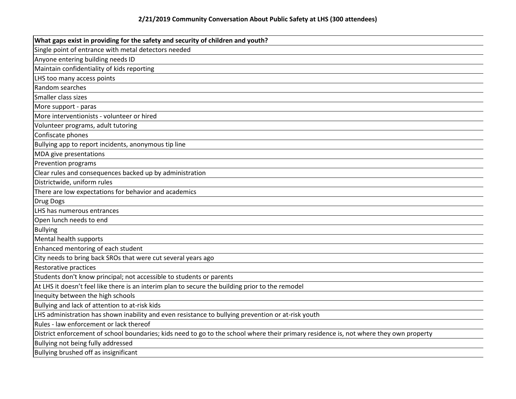| What gaps exist in providing for the safety and security of children and youth?                                                        |
|----------------------------------------------------------------------------------------------------------------------------------------|
| Single point of entrance with metal detectors needed                                                                                   |
| Anyone entering building needs ID                                                                                                      |
| Maintain confidentiality of kids reporting                                                                                             |
| LHS too many access points                                                                                                             |
| Random searches                                                                                                                        |
| Smaller class sizes                                                                                                                    |
| More support - paras                                                                                                                   |
| More interventionists - volunteer or hired                                                                                             |
| Volunteer programs, adult tutoring                                                                                                     |
| Confiscate phones                                                                                                                      |
| Bullying app to report incidents, anonymous tip line                                                                                   |
| MDA give presentations                                                                                                                 |
| Prevention programs                                                                                                                    |
| Clear rules and consequences backed up by administration                                                                               |
| Districtwide, uniform rules                                                                                                            |
| There are low expectations for behavior and academics                                                                                  |
| <b>Drug Dogs</b>                                                                                                                       |
| LHS has numerous entrances                                                                                                             |
| Open lunch needs to end                                                                                                                |
| <b>Bullying</b>                                                                                                                        |
| Mental health supports                                                                                                                 |
| Enhanced mentoring of each student                                                                                                     |
| City needs to bring back SROs that were cut several years ago                                                                          |
| Restorative practices                                                                                                                  |
| Students don't know principal; not accessible to students or parents                                                                   |
| At LHS it doesn't feel like there is an interim plan to secure the building prior to the remodel                                       |
| Inequity between the high schools                                                                                                      |
| Bullying and lack of attention to at-risk kids                                                                                         |
| LHS administration has shown inability and even resistance to bullying prevention or at-risk youth                                     |
| Rules - law enforcement or lack thereof                                                                                                |
| District enforcement of school boundaries; kids need to go to the school where their primary residence is, not where they own property |
| Bullying not being fully addressed                                                                                                     |
| Bullying brushed off as insignificant                                                                                                  |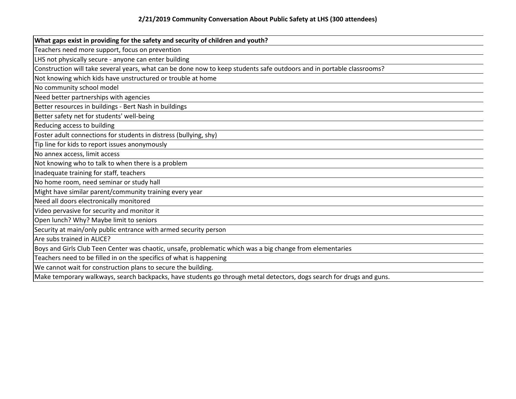| What gaps exist in providing for the safety and security of children and youth?                                       |
|-----------------------------------------------------------------------------------------------------------------------|
| Teachers need more support, focus on prevention                                                                       |
| LHS not physically secure - anyone can enter building                                                                 |
| Construction will take several years, what can be done now to keep students safe outdoors and in portable classrooms? |
| Not knowing which kids have unstructured or trouble at home                                                           |
| No community school model                                                                                             |
| Need better partnerships with agencies                                                                                |
| Better resources in buildings - Bert Nash in buildings                                                                |
| Better safety net for students' well-being                                                                            |
| Reducing access to building                                                                                           |
| Foster adult connections for students in distress (bullying, shy)                                                     |
| Tip line for kids to report issues anonymously                                                                        |
| No annex access, limit access                                                                                         |
| Not knowing who to talk to when there is a problem                                                                    |
| Inadequate training for staff, teachers                                                                               |
| No home room, need seminar or study hall                                                                              |
| Might have similar parent/community training every year                                                               |
| Need all doors electronically monitored                                                                               |
| Video pervasive for security and monitor it                                                                           |
| Open lunch? Why? Maybe limit to seniors                                                                               |
| Security at main/only public entrance with armed security person                                                      |
| Are subs trained in ALICE?                                                                                            |
| Boys and Girls Club Teen Center was chaotic, unsafe, problematic which was a big change from elementaries             |
| Teachers need to be filled in on the specifics of what is happening                                                   |
| We cannot wait for construction plans to secure the building.                                                         |
| Make temporary walkways, search backpacks, have students go through metal detectors, dogs search for drugs and guns.  |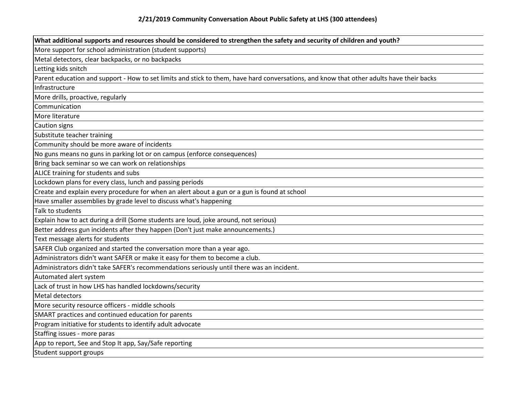| What additional supports and resources should be considered to strengthen the safety and security of children and youth?                 |
|------------------------------------------------------------------------------------------------------------------------------------------|
| More support for school administration (student supports)                                                                                |
| Metal detectors, clear backpacks, or no backpacks                                                                                        |
| Letting kids snitch                                                                                                                      |
| Parent education and support - How to set limits and stick to them, have hard conversations, and know that other adults have their backs |
| Infrastructure                                                                                                                           |
| More drills, proactive, regularly                                                                                                        |
| Communication                                                                                                                            |
| More literature                                                                                                                          |
| Caution signs                                                                                                                            |
| Substitute teacher training                                                                                                              |
| Community should be more aware of incidents                                                                                              |
| No guns means no guns in parking lot or on campus (enforce consequences)                                                                 |
| Bring back seminar so we can work on relationships                                                                                       |
| ALICE training for students and subs                                                                                                     |
| Lockdown plans for every class, lunch and passing periods                                                                                |
| Create and explain every procedure for when an alert about a gun or a gun is found at school                                             |
| Have smaller assemblies by grade level to discuss what's happening                                                                       |
| Talk to students                                                                                                                         |
| Explain how to act during a drill (Some students are loud, joke around, not serious)                                                     |
| Better address gun incidents after they happen (Don't just make announcements.)                                                          |
| Text message alerts for students                                                                                                         |
| SAFER Club organized and started the conversation more than a year ago.                                                                  |
| Administrators didn't want SAFER or make it easy for them to become a club.                                                              |
| Administrators didn't take SAFER's recommendations seriously until there was an incident.                                                |
| Automated alert system                                                                                                                   |
| Lack of trust in how LHS has handled lockdowns/security                                                                                  |
| Metal detectors                                                                                                                          |
| More security resource officers - middle schools                                                                                         |
| SMART practices and continued education for parents                                                                                      |
| Program initiative for students to identify adult advocate                                                                               |
| Staffing issues - more paras                                                                                                             |
| App to report, See and Stop It app, Say/Safe reporting                                                                                   |
| Student support groups                                                                                                                   |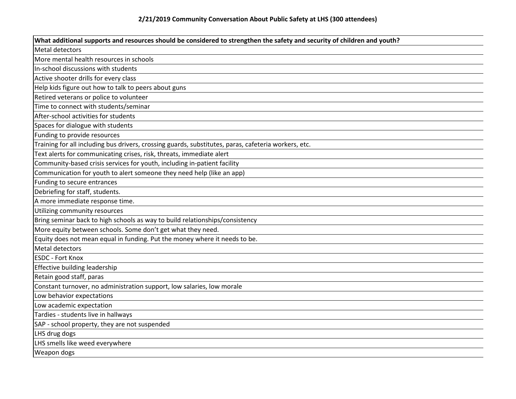| What additional supports and resources should be considered to strengthen the safety and security of children and youth? |
|--------------------------------------------------------------------------------------------------------------------------|
| Metal detectors                                                                                                          |
| More mental health resources in schools                                                                                  |
| In-school discussions with students                                                                                      |
| Active shooter drills for every class                                                                                    |
| Help kids figure out how to talk to peers about guns                                                                     |
| Retired veterans or police to volunteer                                                                                  |
| Time to connect with students/seminar                                                                                    |
| After-school activities for students                                                                                     |
| Spaces for dialogue with students                                                                                        |
| Funding to provide resources                                                                                             |
| Training for all including bus drivers, crossing guards, substitutes, paras, cafeteria workers, etc.                     |
| Text alerts for communicating crises, risk, threats, immediate alert                                                     |
| Community-based crisis services for youth, including in-patient facility                                                 |
| Communication for youth to alert someone they need help (like an app)                                                    |
| Funding to secure entrances                                                                                              |
| Debriefing for staff, students.                                                                                          |
| A more immediate response time.                                                                                          |
| Utilizing community resources                                                                                            |
| Bring seminar back to high schools as way to build relationships/consistency                                             |
| More equity between schools. Some don't get what they need.                                                              |
| Equity does not mean equal in funding. Put the money where it needs to be.                                               |
| Metal detectors                                                                                                          |
| <b>ESDC - Fort Knox</b>                                                                                                  |
| Effective building leadership                                                                                            |
| Retain good staff, paras                                                                                                 |
| Constant turnover, no administration support, low salaries, low morale                                                   |
| Low behavior expectations                                                                                                |
| Low academic expectation                                                                                                 |
| Tardies - students live in hallways                                                                                      |
| SAP - school property, they are not suspended                                                                            |
| LHS drug dogs                                                                                                            |
| LHS smells like weed everywhere                                                                                          |
| Weapon dogs                                                                                                              |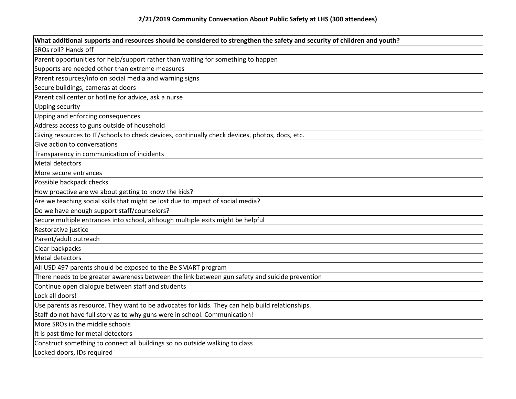| What additional supports and resources should be considered to strengthen the safety and security of children and youth? |
|--------------------------------------------------------------------------------------------------------------------------|
| SROs roll? Hands off                                                                                                     |
| Parent opportunities for help/support rather than waiting for something to happen                                        |
| Supports are needed other than extreme measures                                                                          |
| Parent resources/info on social media and warning signs                                                                  |
| Secure buildings, cameras at doors                                                                                       |
| Parent call center or hotline for advice, ask a nurse                                                                    |
| Upping security                                                                                                          |
| Upping and enforcing consequences                                                                                        |
| Address access to guns outside of household                                                                              |
| Giving resources to IT/schools to check devices, continually check devices, photos, docs, etc.                           |
| Give action to conversations                                                                                             |
| Transparency in communication of incidents                                                                               |
| Metal detectors                                                                                                          |
| More secure entrances                                                                                                    |
| Possible backpack checks                                                                                                 |
| How proactive are we about getting to know the kids?                                                                     |
| Are we teaching social skills that might be lost due to impact of social media?                                          |
| Do we have enough support staff/counselors?                                                                              |
| Secure multiple entrances into school, although multiple exits might be helpful                                          |
| Restorative justice                                                                                                      |
| Parent/adult outreach                                                                                                    |
| Clear backpacks                                                                                                          |
| <b>Metal detectors</b>                                                                                                   |
| All USD 497 parents should be exposed to the Be SMART program                                                            |
| There needs to be greater awareness between the link between gun safety and suicide prevention                           |
| Continue open dialogue between staff and students                                                                        |
| Lock all doors!                                                                                                          |
| Use parents as resource. They want to be advocates for kids. They can help build relationships.                          |
| Staff do not have full story as to why guns were in school. Communication!                                               |
| More SROs in the middle schools                                                                                          |
| It is past time for metal detectors                                                                                      |
| Construct something to connect all buildings so no outside walking to class                                              |
| Locked doors, IDs required                                                                                               |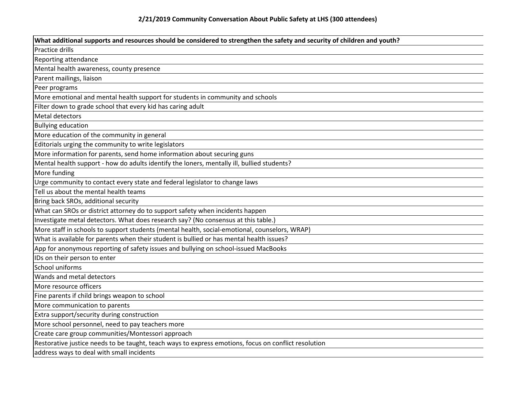| What additional supports and resources should be considered to strengthen the safety and security of children and youth? |
|--------------------------------------------------------------------------------------------------------------------------|
| Practice drills                                                                                                          |
| Reporting attendance                                                                                                     |
| Mental health awareness, county presence                                                                                 |
| Parent mailings, liaison                                                                                                 |
| Peer programs                                                                                                            |
| More emotional and mental health support for students in community and schools                                           |
| Filter down to grade school that every kid has caring adult                                                              |
| Metal detectors                                                                                                          |
| <b>Bullying education</b>                                                                                                |
| More education of the community in general                                                                               |
| Editorials urging the community to write legislators                                                                     |
| More information for parents, send home information about securing guns                                                  |
| Mental health support - how do adults identify the loners, mentally ill, bullied students?                               |
| More funding                                                                                                             |
| Urge community to contact every state and federal legislator to change laws                                              |
| Tell us about the mental health teams                                                                                    |
| Bring back SROs, additional security                                                                                     |
| What can SROs or district attorney do to support safety when incidents happen                                            |
| Investigate metal detectors. What does research say? (No consensus at this table.)                                       |
| More staff in schools to support students (mental health, social-emotional, counselors, WRAP)                            |
| What is available for parents when their student is bullied or has mental health issues?                                 |
| App for anonymous reporting of safety issues and bullying on school-issued MacBooks                                      |
| IDs on their person to enter                                                                                             |
| School uniforms                                                                                                          |
| Wands and metal detectors                                                                                                |
| More resource officers                                                                                                   |
| Fine parents if child brings weapon to school                                                                            |
| More communication to parents                                                                                            |
| Extra support/security during construction                                                                               |
| More school personnel, need to pay teachers more                                                                         |
| Create care group communities/Montessori approach                                                                        |
| Restorative justice needs to be taught, teach ways to express emotions, focus on conflict resolution                     |
| address ways to deal with small incidents                                                                                |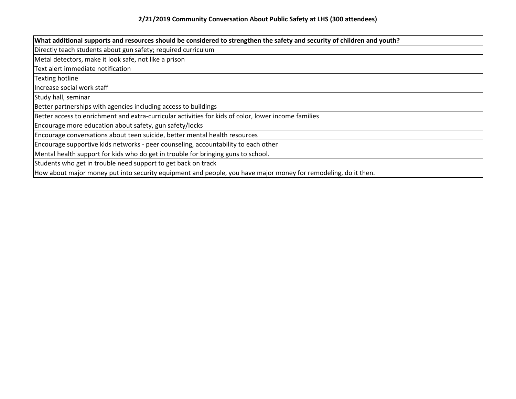| What additional supports and resources should be considered to strengthen the safety and security of children and youth? |
|--------------------------------------------------------------------------------------------------------------------------|
| Directly teach students about gun safety; required curriculum                                                            |
| Metal detectors, make it look safe, not like a prison                                                                    |
| Text alert immediate notification                                                                                        |
| Texting hotline                                                                                                          |
| Increase social work staff                                                                                               |
| Study hall, seminar                                                                                                      |
| Better partnerships with agencies including access to buildings                                                          |
| Better access to enrichment and extra-curricular activities for kids of color, lower income families                     |
| Encourage more education about safety, gun safety/locks                                                                  |
| Encourage conversations about teen suicide, better mental health resources                                               |
| Encourage supportive kids networks - peer counseling, accountability to each other                                       |
| Mental health support for kids who do get in trouble for bringing guns to school.                                        |
| Students who get in trouble need support to get back on track                                                            |
| How about major money put into security equipment and people, you have major money for remodeling, do it then.           |
|                                                                                                                          |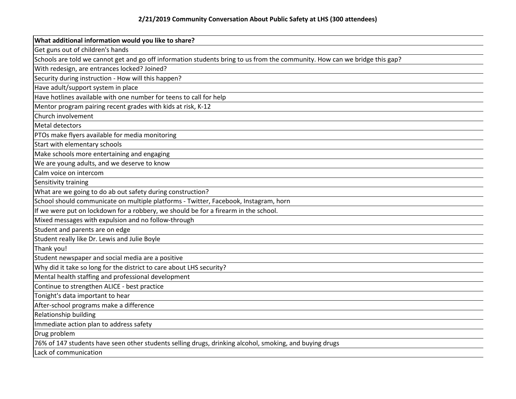| What additional information would you like to share?                                                                       |
|----------------------------------------------------------------------------------------------------------------------------|
| Get guns out of children's hands                                                                                           |
| Schools are told we cannot get and go off information students bring to us from the community. How can we bridge this gap? |
| With redesign, are entrances locked? Joined?                                                                               |
| Security during instruction - How will this happen?                                                                        |
| Have adult/support system in place                                                                                         |
| Have hotlines available with one number for teens to call for help                                                         |
| Mentor program pairing recent grades with kids at risk, K-12                                                               |
| Church involvement                                                                                                         |
| Metal detectors                                                                                                            |
| PTOs make flyers available for media monitoring                                                                            |
| Start with elementary schools                                                                                              |
| Make schools more entertaining and engaging                                                                                |
| We are young adults, and we deserve to know                                                                                |
| Calm voice on intercom                                                                                                     |
| Sensitivity training                                                                                                       |
| What are we going to do ab out safety during construction?                                                                 |
| School should communicate on multiple platforms - Twitter, Facebook, Instagram, horn                                       |
| If we were put on lockdown for a robbery, we should be for a firearm in the school.                                        |
| Mixed messages with expulsion and no follow-through                                                                        |
| Student and parents are on edge                                                                                            |
| Student really like Dr. Lewis and Julie Boyle                                                                              |
| Thank you!                                                                                                                 |
| Student newspaper and social media are a positive                                                                          |
| Why did it take so long for the district to care about LHS security?                                                       |
| Mental health staffing and professional development                                                                        |
| Continue to strengthen ALICE - best practice                                                                               |
| Tonight's data important to hear                                                                                           |
| After-school programs make a difference                                                                                    |
| Relationship building                                                                                                      |
| Immediate action plan to address safety                                                                                    |
| Drug problem                                                                                                               |
| 76% of 147 students have seen other students selling drugs, drinking alcohol, smoking, and buying drugs                    |
| Lack of communication                                                                                                      |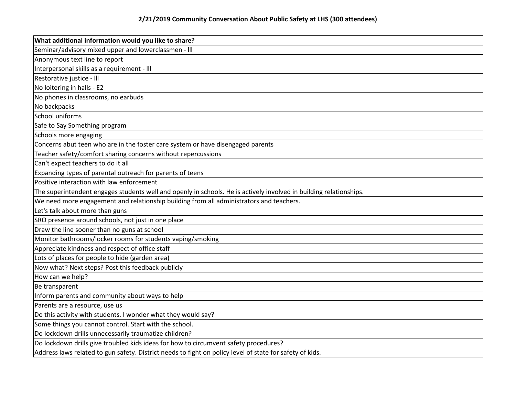| What additional information would you like to share?                                                               |
|--------------------------------------------------------------------------------------------------------------------|
| Seminar/advisory mixed upper and lowerclassmen - III                                                               |
| Anonymous text line to report                                                                                      |
| Interpersonal skills as a requirement - III                                                                        |
| Restorative justice - III                                                                                          |
| No loitering in halls - E2                                                                                         |
| No phones in classrooms, no earbuds                                                                                |
| No backpacks                                                                                                       |
| School uniforms                                                                                                    |
| Safe to Say Something program                                                                                      |
| Schools more engaging                                                                                              |
| Concerns abut teen who are in the foster care system or have disengaged parents                                    |
| Teacher safety/comfort sharing concerns without repercussions                                                      |
| Can't expect teachers to do it all                                                                                 |
| Expanding types of parental outreach for parents of teens                                                          |
| Positive interaction with law enforcement                                                                          |
| The superintendent engages students well and openly in schools. He is actively involved in building relationships. |
| We need more engagement and relationship building from all administrators and teachers.                            |
| Let's talk about more than guns                                                                                    |
| SRO presence around schools, not just in one place                                                                 |
| Draw the line sooner than no guns at school                                                                        |
| Monitor bathrooms/locker rooms for students vaping/smoking                                                         |
| Appreciate kindness and respect of office staff                                                                    |
| Lots of places for people to hide (garden area)                                                                    |
| Now what? Next steps? Post this feedback publicly                                                                  |
| How can we help?                                                                                                   |
| Be transparent                                                                                                     |
| Inform parents and community about ways to help                                                                    |
| Parents are a resource, use us                                                                                     |
| Do this activity with students. I wonder what they would say?                                                      |
| Some things you cannot control. Start with the school.                                                             |
| Do lockdown drills unnecessarily traumatize children?                                                              |
| Do lockdown drills give troubled kids ideas for how to circumvent safety procedures?                               |
| Address laws related to gun safety. District needs to fight on policy level of state for safety of kids.           |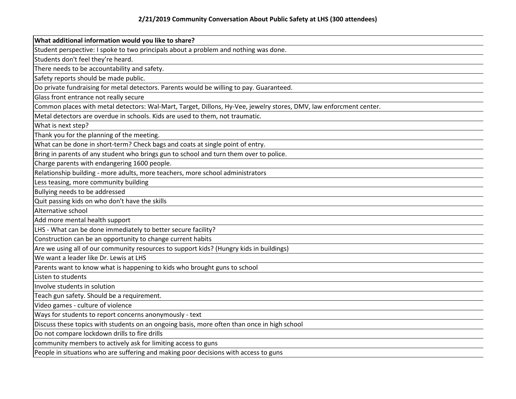| What additional information would you like to share?                                                               |
|--------------------------------------------------------------------------------------------------------------------|
| Student perspective: I spoke to two principals about a problem and nothing was done.                               |
| Students don't feel they're heard.                                                                                 |
| There needs to be accountability and safety.                                                                       |
| Safety reports should be made public.                                                                              |
| Do private fundraising for metal detectors. Parents would be willing to pay. Guaranteed.                           |
| Glass front entrance not really secure                                                                             |
| Common places with metal detectors: Wal-Mart, Target, Dillons, Hy-Vee, jewelry stores, DMV, law enforcment center. |
| Metal detectors are overdue in schools. Kids are used to them, not traumatic.                                      |
| What is next step?                                                                                                 |
| Thank you for the planning of the meeting.                                                                         |
| What can be done in short-term? Check bags and coats at single point of entry.                                     |
| Bring in parents of any student who brings gun to school and turn them over to police.                             |
| Charge parents with endangering 1600 people.                                                                       |
| Relationship building - more adults, more teachers, more school administrators                                     |
| Less teasing, more community building                                                                              |
| Bullying needs to be addressed                                                                                     |
| Quit passing kids on who don't have the skills                                                                     |
| Alternative school                                                                                                 |
| Add more mental health support                                                                                     |
| LHS - What can be done immediately to better secure facility?                                                      |
| Construction can be an opportunity to change current habits                                                        |
| Are we using all of our community resources to support kids? (Hungry kids in buildings)                            |
| We want a leader like Dr. Lewis at LHS                                                                             |
| Parents want to know what is happening to kids who brought guns to school                                          |
| Listen to students                                                                                                 |
| Involve students in solution                                                                                       |
| Teach gun safety. Should be a requirement.                                                                         |
| Video games - culture of violence                                                                                  |
| Ways for students to report concerns anonymously - text                                                            |
| Discuss these topics with students on an ongoing basis, more often than once in high school                        |
| Do not compare lockdown drills to fire drills                                                                      |
| community members to actively ask for limiting access to guns                                                      |
| People in situations who are suffering and making poor decisions with access to guns                               |